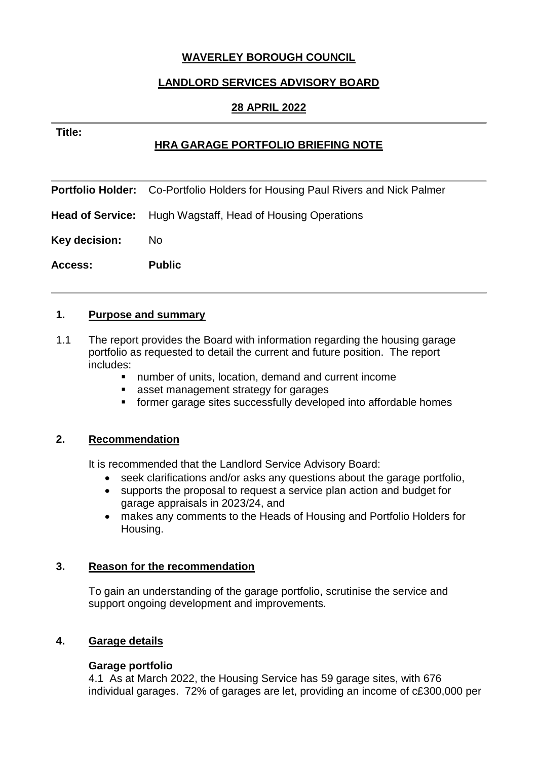# **WAVERLEY BOROUGH COUNCIL**

## **LANDLORD SERVICES ADVISORY BOARD**

# **28 APRIL 2022**

**HRA GARAGE PORTFOLIO BRIEFING NOTE**

|                | <b>Portfolio Holder:</b> Co-Portfolio Holders for Housing Paul Rivers and Nick Palmer |
|----------------|---------------------------------------------------------------------------------------|
|                | <b>Head of Service:</b> Hugh Wagstaff, Head of Housing Operations                     |
| Key decision:  | No.                                                                                   |
| <b>Access:</b> | <b>Public</b>                                                                         |

### **1. Purpose and summary**

**Title:**

- 1.1 The report provides the Board with information regarding the housing garage portfolio as requested to detail the current and future position. The report includes:
	- number of units, location, demand and current income
	- **asset management strategy for garages**
	- former garage sites successfully developed into affordable homes

### **2. Recommendation**

It is recommended that the Landlord Service Advisory Board:

- seek clarifications and/or asks any questions about the garage portfolio,
- supports the proposal to request a service plan action and budget for garage appraisals in 2023/24, and
- makes any comments to the Heads of Housing and Portfolio Holders for Housing.

### **3. Reason for the recommendation**

To gain an understanding of the garage portfolio, scrutinise the service and support ongoing development and improvements.

### **4. Garage details**

#### **Garage portfolio**

4.1 As at March 2022, the Housing Service has 59 garage sites, with 676 individual garages. 72% of garages are let, providing an income of c£300,000 per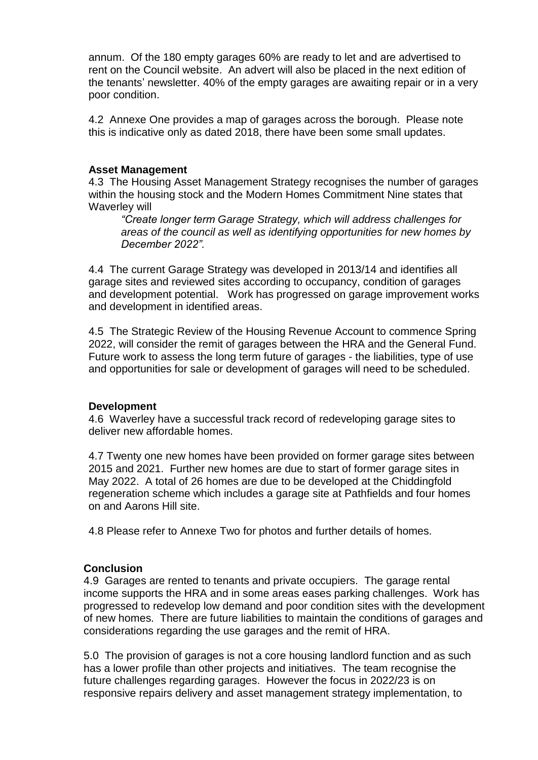annum. Of the 180 empty garages 60% are ready to let and are advertised to rent on the Council website. An advert will also be placed in the next edition of the tenants' newsletter. 40% of the empty garages are awaiting repair or in a very poor condition.

4.2 Annexe One provides a map of garages across the borough. Please note this is indicative only as dated 2018, there have been some small updates.

#### **Asset Management**

4.3 The Housing Asset Management Strategy recognises the number of garages within the housing stock and the Modern Homes Commitment Nine states that Waverley will

*"Create longer term Garage Strategy, which will address challenges for areas of the council as well as identifying opportunities for new homes by December 2022".*

4.4 The current Garage Strategy was developed in 2013/14 and identifies all garage sites and reviewed sites according to occupancy, condition of garages and development potential. Work has progressed on garage improvement works and development in identified areas.

4.5 The Strategic Review of the Housing Revenue Account to commence Spring 2022, will consider the remit of garages between the HRA and the General Fund. Future work to assess the long term future of garages - the liabilities, type of use and opportunities for sale or development of garages will need to be scheduled.

### **Development**

4.6 Waverley have a successful track record of redeveloping garage sites to deliver new affordable homes.

4.7 Twenty one new homes have been provided on former garage sites between 2015 and 2021. Further new homes are due to start of former garage sites in May 2022. A total of 26 homes are due to be developed at the Chiddingfold regeneration scheme which includes a garage site at Pathfields and four homes on and Aarons Hill site.

4.8 Please refer to Annexe Two for photos and further details of homes.

### **Conclusion**

4.9 Garages are rented to tenants and private occupiers. The garage rental income supports the HRA and in some areas eases parking challenges. Work has progressed to redevelop low demand and poor condition sites with the development of new homes. There are future liabilities to maintain the conditions of garages and considerations regarding the use garages and the remit of HRA.

5.0 The provision of garages is not a core housing landlord function and as such has a lower profile than other projects and initiatives. The team recognise the future challenges regarding garages. However the focus in 2022/23 is on responsive repairs delivery and asset management strategy implementation, to